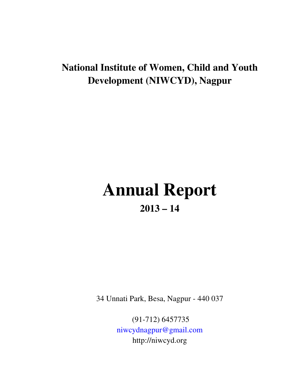# **National Institute of Women, Child and Youth Development (NIWCYD), Nagpur**

# **Annual Report 2013 – 14**

34 Unnati Park, Besa, Nagpur - 440 037

 (91-712) 6457735 niwcydnagpur@gmail.com http://niwcyd.org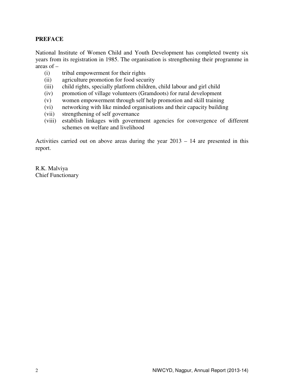# **PREFACE**

National Institute of Women Child and Youth Development has completed twenty six years from its registration in 1985. The organisation is strengthening their programme in areas of –

- (i) tribal empowerment for their rights
- (ii) agriculture promotion for food security
- (iii) child rights, specially platform children, child labour and girl child
- (iv) promotion of village volunteers (Gramdoots) for rural development
- (v) women empowerment through self help promotion and skill training
- (vi) networking with like minded organisations and their capacity building
- (vii) strengthening of self governance
- (viii) establish linkages with government agencies for convergence of different schemes on welfare and livelihood

Activities carried out on above areas during the year 2013 – 14 are presented in this report.

R.K. Malviya Chief Functionary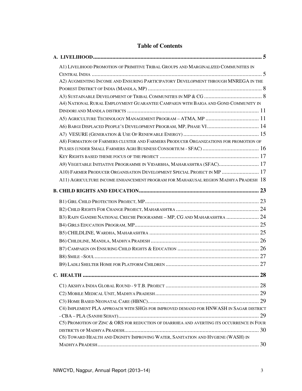| A1) LIVELIHOOD PROMOTION OF PRIMITIVE TRIBAL GROUPS AND MARGINALIZED COMMUNITIES IN       |  |
|-------------------------------------------------------------------------------------------|--|
|                                                                                           |  |
| A2) AUGMENTING INCOME AND ENSURING PARTICIPATORY DEVELOPMENT THROUGH MNREGA IN THE        |  |
|                                                                                           |  |
|                                                                                           |  |
| A4) NATIONAL RURAL EMPLOYMENT GUARANTEE CAMPAIGN WITH BAIGA AND GOND COMMUNITY IN         |  |
|                                                                                           |  |
|                                                                                           |  |
| A6) BARGI DISPLACED PEOPLE'S DEVELOPMENT PROGRAM, MP, PHASE VI 14                         |  |
|                                                                                           |  |
| A8) FORMATION OF FARMERS CLUSTER AND FARMERS PRODUCER ORGANIZATIONS FOR PROMOTION OF      |  |
|                                                                                           |  |
|                                                                                           |  |
| A9) VEGETABLE INITIATIVE PROGRAMME IN VIDARBHA, MAHARASHTRA (SFAC) 17                     |  |
| A10) FARMER PRODUCER ORGANISATION DEVELOPMENT SPECIAL PROJECT IN MP  17                   |  |
| A11) AGRICULTURE INCOME ENHANCEMENT PROGRAM FOR MAHAKUSAL REGION MADHYA PRADESH 18        |  |
|                                                                                           |  |
|                                                                                           |  |
|                                                                                           |  |
|                                                                                           |  |
| B3) RAJIV GANDHI NATIONAL CRECHE PROGRAMME - MP, CG AND MAHARASHTRA  24                   |  |
|                                                                                           |  |
|                                                                                           |  |
|                                                                                           |  |
|                                                                                           |  |
|                                                                                           |  |
|                                                                                           |  |
|                                                                                           |  |
|                                                                                           |  |
|                                                                                           |  |
|                                                                                           |  |
| C4) IMPLEMENT PLA APPROACH WITH SHGS FOR IMPROVED DEMAND FOR HNWASH IN SAGAR DISTRICT     |  |
|                                                                                           |  |
| C5) PROMOTION OF ZINC & ORS FOR REDUCTION OF DIARRHEA AND AVERTING ITS OCCURRENCE IN FOUR |  |
|                                                                                           |  |
| C6) TOWARD HEALTH AND DIGNITY IMPROVING WATER, SANITATION AND HYGIENE (WASH) IN           |  |
|                                                                                           |  |

# **Table of Contents**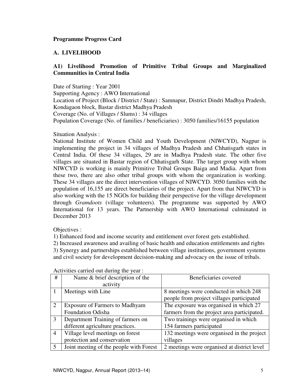# **A. LIVELIHOOD**

# **A1) Livelihood Promotion of Primitive Tribal Groups and Marginalized Communities in Central India**

Date of Starting : Year 2001 Supporting Agency : AWO International Location of Project (Block / District / State) : Samnapur, District Dindri Madhya Pradesh, Kondagaon block, Bastar district Madhya Pradesh Coverage (No. of Villages / Slums) : 34 villages Population Coverage (No. of families / beneficiaries) : 3050 families/16155 population

Situation Analysis :

National Institute of Women Child and Youth Development (NIWCYD), Nagpur is implementing the project in 34 villages of Madhya Pradesh and Chhatisgarh states in Central India. Of these 34 villages, 29 are in Madhya Pradesh state. The other five villages are situated in Bastar region of Chhatisgarh State. The target group with whom NIWCYD is working is mainly Primitive Tribal Groups Baiga and Madia. Apart from these two, there are also other tribal groups with whom the organization is working. These 34 villages are the direct intervention villages of NIWCYD. 3050 families with the population of 16,155 are direct beneficiaries of the project. Apart from that NIWCYD is also working with the 15 NGOs for building their perspective for the village development through *Gramdoots* (village volunteers). The programme was supported by AWO International for 13 years. The Partnership with AWO International culminated in December 2013

Objectives :

1) Enhanced food and income security and entitlement over forest gets established.

2) Increased awareness and availing of basic health and education entitlements and rights 3) Synergy and partnerships established between village institutions, government systems and civil society for development decision-making and advocacy on the issue of tribals.

| #              | Name & brief description of the         | Beneficiaries covered                       |
|----------------|-----------------------------------------|---------------------------------------------|
|                | activity                                |                                             |
|                | Meetings with Line                      | 8 meetings were conducted in which 248      |
|                |                                         | people from project villages participated   |
| 2              | <b>Exposure of Farmers to Madhyam</b>   | The exposure was organised in which 27      |
|                | <b>Foundation Odisha</b>                | farmers from the project area participated. |
| 3              | Department Training of farmers on       | Two trainings were organised in which       |
|                | different agriculture practices.        | 154 farmers participated                    |
| $\overline{4}$ | Village level meetings on forest        | 132 meetings were organised in the project  |
|                | protection and conservation             | villages                                    |
| $\overline{5}$ | Joint meeting of the people with Forest | 2 meetings were organised at district level |

Activities carried out during the year :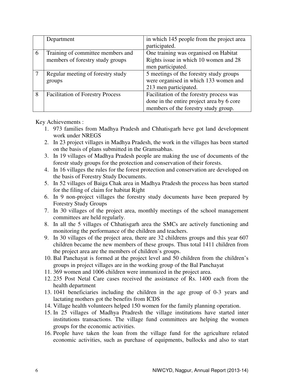|   | Department                              | in which 145 people from the project area |
|---|-----------------------------------------|-------------------------------------------|
|   |                                         | participated.                             |
| 6 | Training of committee members and       | One training was organised on Habitat     |
|   | members of forestry study groups        | Rights issue in which 10 women and 28     |
|   |                                         | men participated.                         |
|   | Regular meeting of forestry study       | 5 meetings of the forestry study groups   |
|   | groups                                  | were organised in which 133 women and     |
|   |                                         | 213 men participated.                     |
| 8 | <b>Facilitation of Forestry Process</b> | Facilitation of the forestry process was  |
|   |                                         | done in the entire project area by 6 core |
|   |                                         | members of the forestry study group.      |

Key Achievements :

- 1. 973 families from Madhya Pradesh and Chhatisgarh heve got land development work under NREGS
- 2. In 23 project villages in Madhya Pradesh, the work in the villages has been started on the basis of plans submitted in the Gramsabhas.
- 3. In 19 villages of Madhya Pradesh people are making the use of documents of the forestr study groups for the protection and conservation of their forests.
- 4. In 16 villages the rules for the forest protection and conservation are developed on the basis of Forestry Study Documents.
- 5. In 52 villages of Baiga Chak area in Madhya Pradesh the process has been started for the filing of claim for habitat Right
- 6. In 9 non-project villages the forestry study documents have been prepared by Forestry Study Groups
- 7. In 30 villages of the project area, monthly meetings of the school management committees are held regularly.
- 8. In all the 5 villages of Chhatisgarh area the SMCs are actively functioning and monitoring the performance of the children and teachers.
- 9. In 30 villages of the project area, there are 32 childrens groups and this year 607 children became the new members of these groups. Thus total 1411 children from the project area are the members of children's groups.
- 10. Bal Panchayat is formed at the project level and 50 children from the children's groups in project villages are in the working group of the Bal Panchayat
- 11. 369 women and 1006 children were immunized in the project area.
- 12. 235 Post Netal Care cases received the assistance of Rs. 1400 each from the health department
- 13. 1041 beneficiaries including the children in the age group of 0-3 years and lactating mothers got the benefits from ICDS
- 14. Village health volunteers helped 150 women for the family planning operation.
- 15. In 25 villages of Madhya Pradresh the village institutions have started inter institutions transactions. The village fund committees are helping the women groups for the economic activities.
- 16. People have taken the loan from the village fund for the agriculture related economic activities, such as purchase of equipments, bullocks and also to start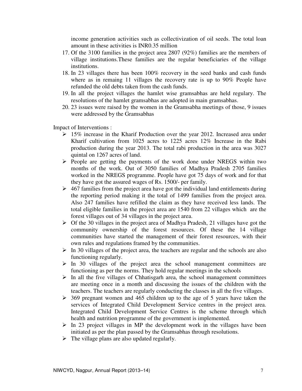income generation activities such as collectivization of oil seeds. The total loan amount in these activities is INR0.35 million

- 17. Of the 3100 families in the project area 2807 (92%) families are the members of village institutions.These families are the regular beneficiaries of the village institutions.
- 18. In 23 villages there has been 100% recovery in the seed banks and cash funds where as in remaing 11 villages the recovery rate is up to 90% People have refunded the old debts taken from the cash funds.
- 19. In all the project villages the hamlet wise gramsabhas are held regulary. The resolutions of the hamlet gramsabhas are adopted in main gramsabhas.
- 20. 23 issues were raised by the women in the Gramsabha meetings of those, 9 issues were addressed by the Gramsabhas

Impact of Interventions :

- $\geq 15\%$  increase in the Kharif Production over the year 2012. Increased area under Kharif cultivation from 1025 acres to 1225 acres 12% Increase in the Rabi production during the year 2013. The total rabi production in the area was 3027 quintal on 1267 acres of land.
- $\triangleright$  People are getting the payments of the work done under NREGS within two months of the work. Out of 3050 families of Madhya Pradesh 2705 families worked in the NREGS programme. People have got 75 days of work and for that they have got the assured wages of Rs. 1500/- per family.
- $\geq 467$  families from the project area have got the individual land entitlements during the reporting period making it the total of 1499 families from the project area. Also 247 families have refilled the claim as they have received less lands. The total eligible families in the project area are 1540 from 22 villages which are the forest villages out of 34 villages in the project area.
- $\triangleright$  Of the 30 villages in the project area of Madhya Pradesh, 21 villages have got the community ownership of the forest resources. Of these the 14 village communities have started the management of their forest resources, with their own rules and regulations framed by the communities.
- $\triangleright$  In 30 villages of the project area, the teachers are regular and the schools are also functioning regularly.
- $\triangleright$  In 30 villages of the project area the school management committees are functioning as per the norms. They hold regular meetings in the schools
- $\triangleright$  In all the five villages of Chhatisgarh area, the school management committees are meeting once in a month and discussing the issues of the children with the teachers. The teachers are regularly conducting the classes in all the five villages.
- $\geq$  369 pregnant women and 465 children up to the age of 5 years have taken the services of Integrated Child Development Service centres in the project area. Integrated Child Development Service Centres is the scheme through which health and nutrition programme of the government is implemented.
- $\triangleright$  In 23 project villages in MP the development work in the villages have been initiated as per the plan passed by the Gramsabhas through resolutions.
- $\triangleright$  The village plans are also updated regularly.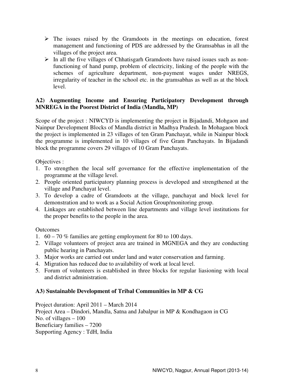- $\triangleright$  The issues raised by the Gramdoots in the meetings on education, forest management and functioning of PDS are addressed by the Gramsabhas in all the villages of the project area.
- $\triangleright$  In all the five villages of Chhatisgarh Gramdoots have raised issues such as nonfunctioning of hand pump, problem of electricity, linking of the people with the schemes of agriculture department, non-payment wages under NREGS, irregularity of teacher in the school etc. in the gramsabhas as well as at the block level.

# **A2) Augmenting Income and Ensuring Participatory Development through MNREGA in the Poorest District of India (Mandla, MP)**

Scope of the project : NIWCYD is implementing the project in Bijadandi, Mohgaon and Nainpur Development Blocks of Mandla district in Madhya Pradesh. In Mohagaon block the project is implemented in 23 villages of ten Gram Panchayat, while in Nainpur block the programme is implemented in 10 villages of five Gram Panchayats. In Bijadandi block the programme covers 29 villages of 10 Gram Panchayats.

Objectives :

- 1. To strengthen the local self governance for the effective implementation of the programme at the village level.
- 2. People oriented participatory planning process is developed and strengthened at the village and Panchayat level.
- 3. To develop a cadre of Gramdoots at the village, panchayat and block level for demonstration and to work as a Social Action Group/monitoring group.
- 4. Linkages are established between line departments and village level institutions for the proper benefits to the people in the area.

# **Outcomes**

- 1.  $60 70\%$  families are getting employment for 80 to 100 days.
- 2. Village volunteers of project area are trained in MGNEGA and they are conducting public hearing in Panchayats.
- 3. Major works are carried out under land and water conservation and farming.
- 4. Migration has reduced due to availability of work at local level.
- 5. Forum of volunteers is established in three blocks for regular liasioning with local and district administration.

# **A3) Sustainable Development of Tribal Communities in MP & CG**

Project duration: April 2011 – March 2014 Project Area – Dindori, Mandla, Satna and Jabalpur in MP & Kondhagaon in CG No. of villages – 100 Beneficiary families – 7200 Supporting Agency : TdH, India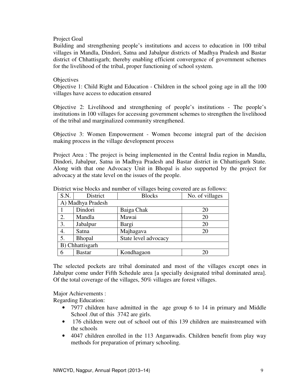#### Project Goal

Building and strengthening people's institutions and access to education in 100 tribal villages in Mandla, Dindori, Satna and Jabalpur districts of Madhya Pradesh and Bastar district of Chhattisgarh; thereby enabling efficient convergence of government schemes for the livelihood of the tribal, proper functioning of school system.

#### **Objectives**

Objective 1: Child Right and Education - Children in the school going age in all the 100 villages have access to education ensured

Objective 2: Livelihood and strengthening of people's institutions - The people's institutions in 100 villages for accessing government schemes to strengthen the livelihood of the tribal and marginalized community strengthened.

Objective 3: Women Empowerment - Women become integral part of the decision making process in the village development process

Project Area : The project is being implemented in the Central India region in Mandla, Dindori, Jabalpur, Satna in Madhya Pradesh and Bastar district in Chhattisgarh State. Along with that one Advocacy Unit in Bhopal is also supported by the project for advocacy at the state level on the issues of the people.

| S.N.            | District                              | <b>Blocks</b> | No. of villages |  |  |  |  |
|-----------------|---------------------------------------|---------------|-----------------|--|--|--|--|
|                 | A) Madhya Pradesh                     |               |                 |  |  |  |  |
|                 | Dindori                               | Baiga Chak    | 20              |  |  |  |  |
| 2.              | Mandla                                | Mawai         | 20              |  |  |  |  |
| 3.              | Jabalpur                              | Bargi         | 20              |  |  |  |  |
| 4.              | Satna                                 | Majhagava     | 20              |  |  |  |  |
| 5.              | State level advocacy<br><b>Bhopal</b> |               |                 |  |  |  |  |
| B) Chhattisgarh |                                       |               |                 |  |  |  |  |
| 6               | <b>Bastar</b>                         | Kondhagaon    | 20              |  |  |  |  |

District wise blocks and number of villages being covered are as follows:

The selected pockets are tribal dominated and most of the villages except ones in Jabalpur come under Fifth Schedule area [a specially designated tribal dominated area]. Of the total coverage of the villages, 50% villages are forest villages.

Major Achievements :

Regarding Education:

- 7977 children have admitted in the age group 6 to 14 in primary and Middle School .0ut of this 3742 are girls.
- 176 children were out of school out of this 139 children are mainstreamed with the schools
- 4047 children enrolled in the 113 Anganwadis. Children benefit from play way methods for preparation of primary schooling.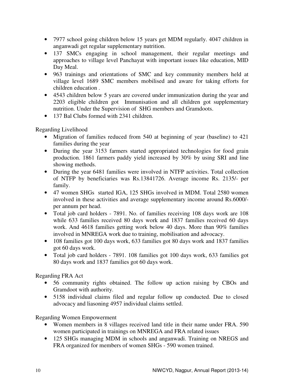- 7977 school going children below 15 years get MDM regularly. 4047 children in anganwadi get regular supplementary nutrition.
- 137 SMCs engaging in school management, their regular meetings and approaches to village level Panchayat with important issues like education, MID Day Meal.
- 963 trainings and orientations of SMC and key community members held at village level 1689 SMC members mobilised and aware for taking efforts for children education .
- 4543 children below 5 years are covered under immunization during the year and 2203 eligible children got Immunisation and all children got supplementary nutrition. Under the Supervision of SHG members and Gramdoots.
- 137 Bal Clubs formed with 2341 children.

Regarding Livelihood

- Migration of families reduced from 540 at beginning of year (baseline) to 421 families during the year
- During the year 3153 farmers started appropriated technologies for food grain production. 1861 farmers paddy yield increased by 30% by using SRI and line showing methods.
- During the year 6481 families were involved in NTFP activities. Total collection of NTFP by beneficiaries was Rs.13841726. Average income Rs. 2135/- per family.
- 47 women SHGs started IGA, 125 SHGs involved in MDM. Total 2580 women involved in these activities and average supplementary income around Rs.6000/ per annum per head.
- Total job card holders 7891. No. of families receiving 108 days work are 108 while 633 families received 80 days work and 1837 families received 60 days work. And 4618 families getting work below 40 days. More than 90% families involved in MNREGA work due to training, mobilisation and advocacy.
- 108 families got 100 days work, 633 families got 80 days work and 1837 families got 60 days work.
- Total job card holders 7891. 108 families got 100 days work, 633 families got 80 days work and 1837 families got 60 days work.

Regarding FRA Act

- 56 community rights obtained. The follow up action raising by CBOs and Gramdoot with authority.
- 5158 individual claims filed and regular follow up conducted. Due to closed advocacy and liasoning 4957 individual claims settled.

Regarding Women Empowerment

- Women members in 8 villages received land title in their name under FRA. 590 women participated in trainings on MNREGA and FRA related issues
- 125 SHGs managing MDM in schools and anganwadi. Training on NREGS and FRA organized for members of women SHGs - 590 women trained.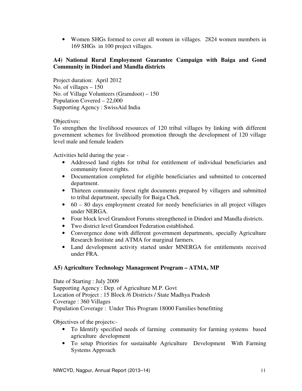• Women SHGs formed to cover all women in villages. 2824 women members in 169 SHGs in 100 project villages.

# **A4) National Rural Employment Guarantee Campaign with Baiga and Gond Community in Dindori and Mandla districts**

Project duration: April 2012 No. of villages – 150 No. of Village Volunteers (Gramdoot) – 150 Population Covered – 22,000 Supporting Agency : SwissAid India

Objectives:

To strengthen the livelihood resources of 120 tribal villages by linking with different government schemes for livelihood promotion through the development of 120 village level male and female leaders

Activities held during the year -

- Addressed land rights for tribal for entitlement of individual beneficiaries and community forest rights.
- Documentation completed for eligible beneficiaries and submitted to concerned department.
- Thirteen community forest right documents prepared by villagers and submitted to tribal department, specially for Baiga Chek.
- $\bullet$  60 80 days employment created for needy beneficiaries in all project villages under NERGA.
- Four block level Gramdoot Forums strengthened in Dindori and Mandla districts.
- Two district level Gramdoot Federation established.
- Convergence done with different government departments, specially Agriculture Research Institute and ATMA for marginal farmers.
- Land development activity started under MNERGA for entitlements received under FRA.

# **A5) Agriculture Technology Management Program – ATMA, MP**

Date of Starting : July 2009 Supporting Agency : Dep. of Agriculture M.P. Govt Location of Project : 15 Block /6 Districts / State Madhya Pradesh Coverage : 360 Villages Population Coverage : Under This Program 18000 Families benefitting

Objectives of the projects:-

- To Identify specified needs of farming community for farming systems based agriculture development
- To setup Priorities for sustainable Agriculture Development With Farming Systems Approach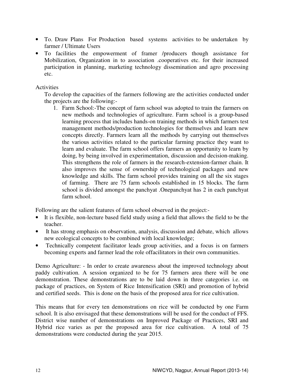- To. Draw Plans For Production based systems activities to be undertaken by farmer / Ultimate Users
- To facilities the empowerment of framer /producers though assistance for Mobilization, Organization in to association .cooperatives etc. for their increased participation in planning, marketing technology dissemination and agro processing etc.

### **Activities**

To develop the capacities of the farmers following are the activities conducted under the projects are the following:-

1. Farm School:-The concept of farm school was adopted to train the farmers on new methods and technologies of agriculture. Farm school is a group-based learning process that includes hands-on training methods in which farmers test management methods/production technologies for themselves and learn new concepts directly. Farmers learn all the methods by carrying out themselves the various activities related to the particular farming practice they want to learn and evaluate. The farm school offers farmers an opportunity to learn by doing, by being involved in experimentation, discussion and decision-making. This strengthens the role of farmers in the research-extension-farmer chain. It also improves the sense of ownership of technological packages and new knowledge and skills. The farm school provides training on all the six stages of farming. There are 75 farm schools established in 15 blocks. The farm school is divided amongst the panchyat .Onepanchyat has 2 in each panchyat farm school.

Following are the salient features of farm school observed in the project:-

- It is flexible, non-lecture based field study using a field that allows the field to be the teacher.
- It has strong emphasis on observation, analysis, discussion and debate, which allows new ecological concepts to be combined with local knowledge;
- Technically competent facilitator leads group activities, and a focus is on farmers becoming experts and farmer lead the role offacilitators in their own communities.

Demo Agriculture: - In order to create awareness about the improved technology about paddy cultivation. A session organized to be for 75 farmers area there will be one demonstration. These demonstrations are to be laid down in three categories i.e. on package of practices, on System of Rice Intensification (SRI) and promotion of hybrid and certified seeds. This is done on the basis of the proposed area for rice cultivation.

This means that for every ten demonstrations on rice will be conducted by one Farm school. It is also envisaged that these demonstrations will be used for the conduct of FFS. District wise number of demonstrations on Improved Package of Practices, SRI and Hybrid rice varies as per the proposed area for rice cultivation. A total of 75 demonstrations were conducted during the year 2015.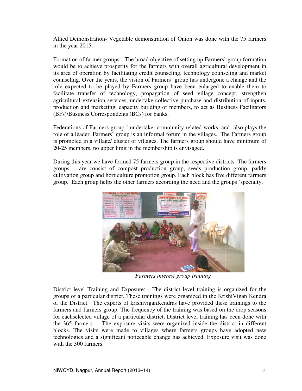Allied Demonstration- Vegetable demonstration of Onion was done with the 75 farmers in the year 2015. Allied Demonstration- Vegetable demonstration of Onion was done with the 75 farmers<br>in the year 2015.<br>Formation of farmer groups:- The broad objective of setting up Farmers' group formation

would be to achieve prosperity for the farmers with overall agricultural development in its area of operation by facilitating credit counseling, technology counseling and market counseling. Over the years, the vision of Farmers' group has undergone a change and the role expected to be played by Farmers group have been enlarged to enable them to facilitate transfer of technology, propagation of seed village concept, strengthen agricultural extension services, undertake collective purchase and distribution of inputs, production and marketing, capacity building of members, to act as Business Facilitators (BFs)/Business Correspondents (BCs) for banks. would be to achieve prosperity for the farmers with overall agricultural development in<br>its area of operation by facilitating credit counseling, technology counseling and market<br>counseling. Over the years, the vision of Fa

Federations of Farmers group ' undertake community related works, and also plays the role of a leader. Farmers' group is an informal forum in the villages. The Farmers group is promoted in a village/ cluster of villages. The farmers group should have minimum of 20-25 members, no upper limit in the membership is envisaged.

During this year we have formed 75 farmers group in the respective districts. The farmers groups are consist of compost production group, seeds production group, paddy cultivation group and horticulture promotion group. Each block has five different farmers group. Each group helps the other farmers according the need and the groups 'specialty. respective districts. The farmers are consist of compost production group, seeds production group, paddy group and horticulture promotion group. Each block has five different farmers



*Farmers interest group training* 

District level Training and Exposure: - The district level training is organized for the groups of a particular district. These trainings were organized in the KrishiVigan Kendra of the District. The experts of krishiviganKendras have provided these trainings to the farmers and farmers group. The frequency of the training was based on the crop seasons for eachselected village of a particular district. District level training has been done with the 365 farmers. The exposure visits were organized inside the district in different blocks. The visits were made to villages where farmers groups have adopted new technologies and a significant noticeable change has achieved. Exposure visit was done with the 300 farmers. articular district. These trainings were organized in the KrishiVigan K<br>t. The experts of krishiviganKendras have provided these trainings<br>armers group. The frequency of the training was based on the crop se<br>ed village of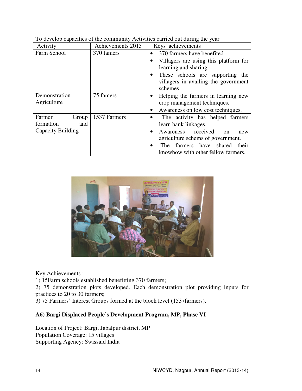| Activity          | Achievements 2015 | Keys achievements                                                                                                                                      |  |
|-------------------|-------------------|--------------------------------------------------------------------------------------------------------------------------------------------------------|--|
| Farm School       | 370 famers        | 370 farmers have benefited<br>$\bullet$                                                                                                                |  |
|                   |                   | Villagers are using this platform for<br>learning and sharing.<br>These schools are supporting the<br>villagers in availing the government<br>schemes. |  |
| Demonstration     | 75 famers         | Helping the farmers in learning new<br>$\bullet$                                                                                                       |  |
| Agriculture       |                   | crop management techniques.                                                                                                                            |  |
|                   |                   | Awareness on low cost techniques.                                                                                                                      |  |
| Farmer<br>Group   | 1537 Farmers      | The activity has helped farmers                                                                                                                        |  |
| formation<br>and  |                   | learn bank linkages.                                                                                                                                   |  |
| Capacity Building |                   | Awareness received<br>$_{\rm on}$<br>new<br>$\bullet$                                                                                                  |  |
|                   |                   | agriculture schems of government.                                                                                                                      |  |
|                   |                   | The farmers have shared their                                                                                                                          |  |
|                   |                   | knowhow with other fellow farmers.                                                                                                                     |  |

|  |  |  | To develop capacities of the community Activities carried out during the year |  |
|--|--|--|-------------------------------------------------------------------------------|--|
|  |  |  |                                                                               |  |
|  |  |  |                                                                               |  |



Key Achievements :

1) 15Farm schools established benefitting 370 farmers;

2) 75 demonstration plots developed. Each demonstration plot providing inputs for practices to 20 to 30 farmers; 2) 75 demonstration plots developed. Each demonstration plot prov<br>practices to 20 to 30 farmers;<br>3) 75 Farmers' Interest Groups formed at the block level (1537farmers).

# **A6) Bargi Displaced People's Development Program, MP, Phase VI )**

Location of Project: Bargi, Jabalpur district, MP Population Coverage: 15 villages Supporting Agency: Swissaid India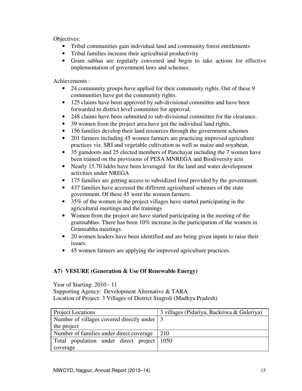Objectives:

- Tribal communities gain individual land and community forest entitlements
- Tribal families increase their agricultural productivity
- Gram sabhas are regularly convened and begin to take actions for effective implementation of government laws and schemes.

Achievements :

- 24 community groups have applied for their community rights. Out of these 9 communities have got the community rights.
- 125 claims have been approved by sub-divisional committee and have been forwarded to district level committee for approval.
- 248 claims have been submitted to sub-divisional committee for the clearance.
- 39 women from the project area have got the individual land rights.
- 156 families develop their land resources through the government schemes
- 201 farmers including 45 women farmers are practicing improved agriculture practices viz. SRI and vegetable cultivation as well as maize and soyabean.
- 35 gamdoots and 25 elected members of Panchayat including the 7 women have been trained on the provisions of PESA MNREGA and Biodiversity acts
- Nearly 15.70 lakhs have been leveraged for the land and water development activities under NREGA
- 175 families are getting access to subsidized food provided by the government.
- 437 families have accessed the different agricultural schemes of the state government. Of these 45 were the women farmers.
- 35% of the women in the project villages have started participating in the agricultural meetings and the trainings
- Women from the project are have started participating in the meeting of the gramsabhas. There has been 10% increase in the participation of the women in Gramsabha meetings.
- 20 women leaders have been identified and are being given inputs to raise their issues.
- 45 women farmers are applying the improved agriculture practices.

# **A7) VESURE (Generation & Use Of Renewable Energy)**

Year of Starting: 2010 - 11

Supporting Agency: Development Alternative & TARA Location of Project: 3 Villages of District Singroli (Madhya Pradesh)

| <b>Project Locations</b>                      | 3 villages (Pidariya, Backriwa & Guleriya) |
|-----------------------------------------------|--------------------------------------------|
| Number of villages covered directly under   3 |                                            |
| the project                                   |                                            |
| Number of families under direct coverage      | 210                                        |
| Total population under direct project 1050    |                                            |
| coverage                                      |                                            |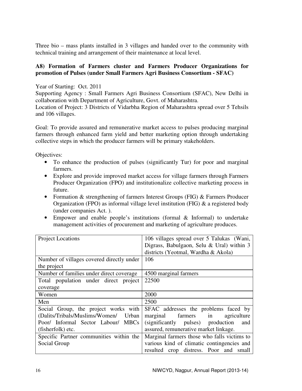Three bio – mass plants installed in 3 villages and handed over to the community with technical training and arrangement of their maintenance at local level.

# **A8) Formation of Farmers cluster and Farmers Producer Organizations for promotion of Pulses (under Small Farmers Agri Business Consortium - SFAC)**

Year of Starting: Oct. 2011

Supporting Agency : Small Farmers Agri Business Consortium (SFAC), New Delhi in collaboration with Department of Agriculture, Govt. of Maharashtra.

Location of Project: 3 Districts of Vidarbha Region of Maharashtra spread over 5 Tehsils and 106 villages.

Goal: To provide assured and remunerative market access to pulses producing marginal farmers through enhanced farm yield and better marketing option through undertaking collective steps in which the producer farmers will be primary stakeholders.

Objectives:

- To enhance the production of pulses (significantly Tur) for poor and marginal farmers.
- Explore and provide improved market access for village farmers through Farmers Producer Organization (FPO) and institutionalize collective marketing process in future.
- Formation & strengthening of farmers Interest Groups (FIG) & Farmers Producer Organization (FPO) as informal village level institution (FIG) & a registered body (under companies Act. ).
- Empower and enable people's institutions (formal & Informal) to undertake management activities of procurement and marketing of agriculture produces.

| Project Locations                         | 106 villages spread over 5 Talukas (Wani,   |
|-------------------------------------------|---------------------------------------------|
|                                           | Digrass, Babulgaon, Selu & Ural) within 3   |
|                                           | districts (Yeotmal, Wardha & Akola)         |
| Number of villages covered directly under | 106                                         |
| the project                               |                                             |
| Number of families under direct coverage  | 4500 marginal farmers                       |
| Total population under direct project     | 22500                                       |
| coverage                                  |                                             |
| Women                                     | 2000                                        |
| Men                                       | 2500                                        |
| Social Group, the project works with      | SFAC addresses the problems faced by        |
| (Dalits/Tribals/Muslims/Women/<br>Urban   | marginal farmers<br>in<br>agriculture       |
| Poor/ Informal Sector Labour/ MBCs        | (significantly pulses) production<br>and    |
| (fisherfolk) etc.                         | assured, remunerative market linkage.       |
| Specific Partner communities within the   | Marginal farmers those who falls victims to |
| Social Group                              | various kind of climatic contingencies and  |
|                                           | resulted crop distress. Poor and small      |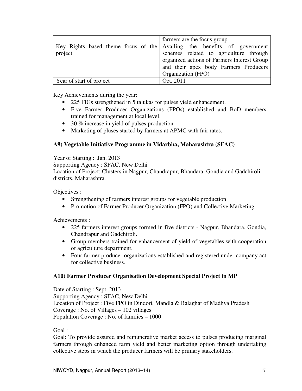|                          | farmers are the focus group.                                            |
|--------------------------|-------------------------------------------------------------------------|
|                          | Key Rights based theme focus of the Availing the benefits of government |
| project                  | schemes related to agriculture through                                  |
|                          | organized actions of Farmers Interest Group                             |
|                          | and their apex body Farmers Producers                                   |
|                          | Organization (FPO)                                                      |
| Year of start of project | Oct. 2011                                                               |

Key Achievements during the year:

- 225 FIGs strengthened in 5 talukas for pulses yield enhancement.
- Five Farmer Producer Organizations (FPOs) established and BoD members trained for management at local level.
- 30 % increase in yield of pulses production.
- Marketing of pluses started by farmers at APMC with fair rates.

# **A9) Vegetable Initiative Programme in Vidarbha, Maharashtra (SFAC)**

Year of Starting : Jan. 2013

Supporting Agency : SFAC, New Delhi

Location of Project: Clusters in Nagpur, Chandrapur, Bhandara, Gondia and Gadchiroli districts, Maharashtra.

Objectives :

- Strengthening of farmers interest groups for vegetable production
- Promotion of Farmer Producer Organization (FPO) and Collective Marketing

Achievements :

- 225 farmers interest groups formed in five districts Nagpur, Bhandara, Gondia, Chandrapur and Gadchiroli.
- Group members trained for enhancement of yield of vegetables with cooperation of agriculture department.
- Four farmer producer organizations established and registered under company act for collective business.

# **A10) Farmer Producer Organisation Development Special Project in MP**

Date of Starting : Sept. 2013 Supporting Agency : SFAC, New Delhi Location of Project : Five FPO in Dindori, Mandla & Balaghat of Madhya Pradesh Coverage : No. of Villages – 102 villages Population Coverage : No. of families – 1000

Goal :

Goal: To provide assured and remunerative market access to pulses producing marginal farmers through enhanced farm yield and better marketing option through undertaking collective steps in which the producer farmers will be primary stakeholders.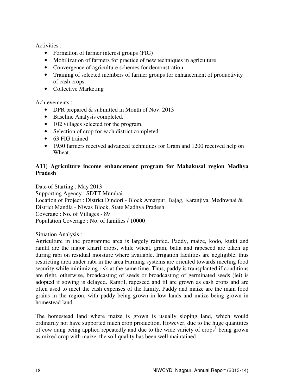Activities :

- Formation of farmer interest groups (FIG)
- Mobilization of farmers for practice of new techniques in agriculture
- Convergence of agriculture schemes for demonstration
- Training of selected members of farmer groups for enhancement of productivity of cash crops
- Collective Marketing

Achievements :

- DPR prepared & submitted in Month of Nov. 2013
- Baseline Analysis completed.
- 102 villages selected for the program.
- Selection of crop for each district completed.
- 63 FIG trained
- 1950 farmers received advanced techniques for Gram and 1200 received help on Wheat.

# **A11) Agriculture income enhancement program for Mahakusal region Madhya Pradesh**

Date of Starting : May 2013 Supporting Agency : SDTT Mumbai Location of Project : District Dindori - Block Amarpur, Bajag, Karanjiya, Medhwnai & District Mandla - Niwas Block, State Madhya Pradesh Coverage : No. of Villages - 89 Population Coverage : No. of families / 10000

Situation Analysis :

Agriculture in the programme area is largely rainfed. Paddy, maize, kodo, kutki and ramtil are the major kharif crops, while wheat, gram, batla and rapeseed are taken up during rabi on residual moisture where available. Irrigation facilities are negligible, thus restricting area under rabi in the area Farming systems are oriented towards meeting food security while minimizing risk at the same time. Thus, paddy is transplanted if conditions are right, otherwise, broadcasting of seeds or broadcasting of germinated seeds (lei) is adopted if sowing is delayed. Ramtil, rapeseed and til are grown as cash crops and are often used to meet the cash expenses of the family. Paddy and maize are the main food grains in the region, with paddy being grown in low lands and maize being grown in homestead land.

The homestead land where maize is grown is usually sloping land, which would ordinarily not have supported much crop production. However, due to the huge quantities of cow dung being applied repeatedly and due to the wide variety of crops<sup>1</sup> being grown as mixed crop with maize, the soil quality has been well maintained.

 $\overline{a}$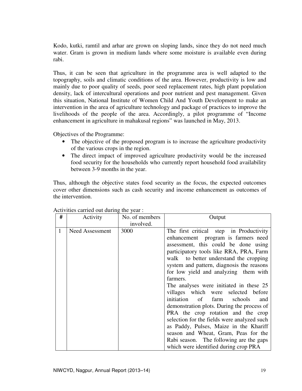Kodo, kutki, ramtil and arhar are grown on sloping lands, since they do not need much water. Gram is grown in medium lands where some moisture is available even during rabi.

Thus, it can be seen that agriculture in the programme area is well adapted to the topography, soils and climatic conditions of the area. However, productivity is low and mainly due to poor quality of seeds, poor seed replacement rates, high plant population density, lack of intercultural operations and poor nutrient and pest management. Given this situation, National Institute of Women Child And Youth Development to make an intervention in the area of agriculture technology and package of practices to improve the livelihoods of the people of the area. Accordingly, a pilot programme of "Income enhancement in agriculture in mahakusal regions" was launched in May, 2013.

Objectives of the Programme:

- The objective of the proposed program is to increase the agriculture productivity of the various crops in the region.
- The direct impact of improved agriculture productivity would be the increased food security for the households who currently report household food availability between 3-9 months in the year.

Thus, although the objective states food security as the focus, the expected outcomes cover other dimensions such as cash security and income enhancement as outcomes of the intervention.

| # | Activity        | No. of members    | Output                                                                                                                                                                                                                                                                                                                                                                                                                                                                                                                                                                                                                                                                                                                                           |
|---|-----------------|-------------------|--------------------------------------------------------------------------------------------------------------------------------------------------------------------------------------------------------------------------------------------------------------------------------------------------------------------------------------------------------------------------------------------------------------------------------------------------------------------------------------------------------------------------------------------------------------------------------------------------------------------------------------------------------------------------------------------------------------------------------------------------|
| 1 | Need Assessment | involved.<br>3000 | The first critical step in Productivity<br>enhancement program is farmers need<br>assessment, this could be done using<br>participatory tools like RRA, PRA, Farm<br>walk to better understand the cropping<br>system and pattern, diagnosis the reasons<br>for low yield and analyzing them with<br>farmers.<br>The analyses were initiated in these 25<br>villages which were selected before<br>initiation of<br>farm schools<br>and<br>demonstration plots. During the process of<br>PRA the crop rotation and the crop<br>selection for the fields were analyzed such<br>as Paddy, Pulses, Maize in the Khariff<br>season and Wheat, Gram, Peas for the<br>Rabi season. The following are the gaps<br>which were identified during crop PRA |

Activities carried out during the year :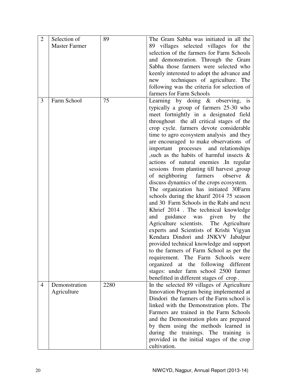| 2              | Selection of<br><b>Master Farmer</b> | 89   | The Gram Sabha was initiated in all the<br>89 villages selected villages for the<br>selection of the farmers for Farm Schools<br>and demonstration. Through the Gram<br>Sabha those farmers were selected who                                                                                                                                                                                                                                                                                                                                                                                                                                                                                                                                                                                                                                                                                                                                                                                                                                                                                                                                                                       |
|----------------|--------------------------------------|------|-------------------------------------------------------------------------------------------------------------------------------------------------------------------------------------------------------------------------------------------------------------------------------------------------------------------------------------------------------------------------------------------------------------------------------------------------------------------------------------------------------------------------------------------------------------------------------------------------------------------------------------------------------------------------------------------------------------------------------------------------------------------------------------------------------------------------------------------------------------------------------------------------------------------------------------------------------------------------------------------------------------------------------------------------------------------------------------------------------------------------------------------------------------------------------------|
|                |                                      |      | keenly interested to adopt the advance and<br>techniques of agriculture. The<br>new<br>following was the criteria for selection of<br>farmers for Farm Schools                                                                                                                                                                                                                                                                                                                                                                                                                                                                                                                                                                                                                                                                                                                                                                                                                                                                                                                                                                                                                      |
| 3              | Farm School                          | 75   | Learning by doing $\&$ observing, is<br>typically a group of farmers 25-30 who<br>meet fortnightly in a designated field<br>throughout the all critical stages of the<br>crop cycle. farmers devote considerable<br>time to agro ecosystem analysis and they<br>are encouraged to make observations of<br>important processes and relationships<br>such as the habits of harmful insects $\&$<br>actions of natural enemies . In regular<br>sessions from planting till harvest, group<br>of neighboring<br>farmers<br>observe $\&$<br>discuss dynamics of the crops ecosystem.<br>The organization has initiated 30Farm<br>schools during the kharif 2014 75 season<br>and 30 Farm Schools in the Rabi and next<br>Khrief 2014 . The technical knowledge<br>and guidance was given<br>by the<br>Agriculture scientists. The Agriculture<br>experts and Scientists of Krishi Vigyan<br>Kendara Dindori and JNKVV Jabalpur<br>provided technical knowledge and support<br>to the farmers of Farm School as per the<br>requirement. The Farm Schools were<br>organized at the following different<br>stages: under farm school 2500 farmer<br>benefitted in different stages of crop. |
| $\overline{4}$ | Demonstration<br>Agriculture         | 2280 | In the selected 89 villages of Agriculture<br>Innovation Program being implemented at<br>Dindori the farmers of the Farm school is<br>linked with the Demonstration plots. The<br>Farmers are trained in the Farm Schools<br>and the Demonstration plots are prepared<br>by them using the methods learned in<br>during the trainings. The training is<br>provided in the initial stages of the crop<br>cultivation.                                                                                                                                                                                                                                                                                                                                                                                                                                                                                                                                                                                                                                                                                                                                                                |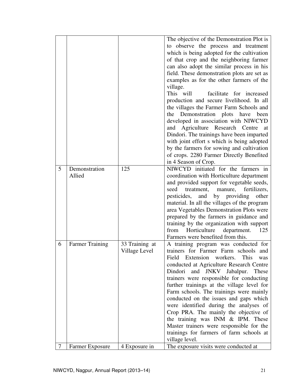|   |                         |                                 | The objective of the Demonstration Plot is<br>to observe the process and treatment<br>which is being adopted for the cultivation<br>of that crop and the neighboring farmer<br>can also adopt the similar process in his<br>field. These demonstration plots are set as<br>examples as for the other farmers of the<br>village.<br>This will<br>facilitate for increased<br>production and secure livelihood. In all<br>the villages the Farmer Farm Schools and<br>the Demonstration plots have been<br>developed in association with NIWCYD<br>Agriculture Research Centre<br>and<br>at<br>Dindori. The trainings have been imparted<br>with joint effort s which is being adopted<br>by the farmers for sowing and cultivation<br>of crops. 2280 Farmer Directly Benefited<br>in 4 Season of Crop. |
|---|-------------------------|---------------------------------|-------------------------------------------------------------------------------------------------------------------------------------------------------------------------------------------------------------------------------------------------------------------------------------------------------------------------------------------------------------------------------------------------------------------------------------------------------------------------------------------------------------------------------------------------------------------------------------------------------------------------------------------------------------------------------------------------------------------------------------------------------------------------------------------------------|
| 5 | Demonstration<br>Allied | 125                             | NIWCYD initiated for the farmers in<br>coordination with Horticulture department<br>and provided support for vegetable seeds,<br>fertilizers,<br>seed<br>treatment,<br>manure,<br>providing<br>pesticides,<br>by<br>other<br>and<br>material. In all the villages of the program<br>area Vegetables Demonstration Plots were<br>prepared by the farmers in guidance and<br>training by the organization with support<br>Horticulture<br>department.<br>125<br>from<br>Farmers were benefited from this.                                                                                                                                                                                                                                                                                               |
| 6 | <b>Farmer Training</b>  | 33 Training at<br>Village Level | A training program was conducted for<br>trainers for Farmer Farm schools and<br>workers.<br>Field<br>Extension<br><b>This</b><br>was<br>conducted at Agriculture Research Centre<br>Dindori and JNKV Jabalpur.<br>These<br>trainers were responsible for conducting<br>further trainings at the village level for<br>Farm schools. The trainings were mainly<br>conducted on the issues and gaps which<br>were identified during the analyses of<br>Crop PRA. The mainly the objective of<br>the training was INM & IPM. These<br>Master trainers were responsible for the<br>trainings for farmers of farm schools at<br>village level.                                                                                                                                                              |
| 7 | Farmer Exposure         | 4 Exposure in                   | The exposure visits were conducted at                                                                                                                                                                                                                                                                                                                                                                                                                                                                                                                                                                                                                                                                                                                                                                 |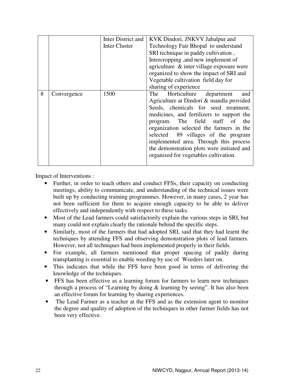|   |             | Inter District and | KVK Dindori, JNKVV Jabalpur and            |  |  |
|---|-------------|--------------------|--------------------------------------------|--|--|
|   |             | Inter Cluster      | Technology Fair Bhopal to understand       |  |  |
|   |             |                    | SRI technique in paddy cultivation,        |  |  |
|   |             |                    | Intercropping, and new implement of        |  |  |
|   |             |                    | agriculture & inter village exposure were  |  |  |
|   |             |                    | organized to show the impact of SRI and    |  |  |
|   |             |                    | Vegetable cultivation field day for        |  |  |
|   |             |                    | sharing of experience                      |  |  |
| 8 | Convergence | 1500               | Horticulture department<br>The<br>and      |  |  |
|   |             |                    | Agriculture at Dindori & mandla provided   |  |  |
|   |             |                    | Seeds, chemicals for seed treatment,       |  |  |
|   |             |                    | medicines, and fertilizers to support the  |  |  |
|   |             |                    | program. The field staff of the            |  |  |
|   |             |                    | organization selected the farmers in the   |  |  |
|   |             |                    | selected 89 villages of the program        |  |  |
|   |             |                    | implemented area. Through this process     |  |  |
|   |             |                    | the demonstration plots were initiated and |  |  |
|   |             |                    | organized for vegetables cultivation.      |  |  |
|   |             |                    |                                            |  |  |

Impact of Interventions :

- Further, in order to teach others and conduct FFSs, their capacity on conducting meetings, ability to communicate, and understanding of the technical issues were built up by conducting training programmes. However, in many cases, 2 year has not been sufficient for them to acquire enough capacity to be able to deliver effectively and independently with respect to these tasks.
- Most of the Lead farmers could satisfactorily explain the various steps in SRI, but many could not explain clearly the rationale behind the specific steps.
- Similarly, most of the farmers that had adopted SRI, said that they had learnt the techniques by attending FFS and observing demonstration plots of lead farmers. However, not all techniques had been implemented properly in their fields.
- For example, all farmers mentioned that proper spacing of paddy during transplanting is essential to enable weeding by use of Weeders later on.
- This indicates that while the FFS have been good in terms of delivering the knowledge of the techniques.
- FFS has been effective as a learning forum for farmers to learn new techniques through a process of "Learning by doing & learning by seeing". It has also been an effective forum for learning by sharing experiences.
- The Lead Farmer as a teacher at the FFS and as the extension agent to monitor the degree and quality of adoption of the techniques in other farmer fields has not been very effective.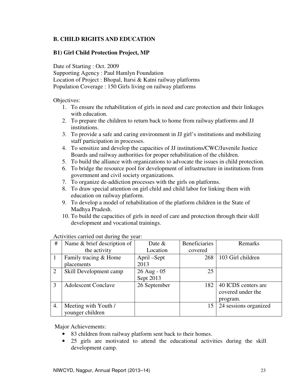# **B. CHILD RIGHTS AND EDUCATION**

# **B1) Girl Child Protection Project, MP**

Date of Starting : Oct. 2009

Supporting Agency : Paul Hamlyn Foundation

Location of Project : Bhopal, Itarsi & Katni railway platforms

Population Coverage : 150 Girls living on railway platforms

Objectives:

- 1. To ensure the rehabilitation of girls in need and care protection and their linkages with education.
- 2. To prepare the children to return back to home from railway platforms and JJ institutions.
- 3. To provide a safe and caring environment in JJ girl's institutions and mobilizing staff participation in processes.
- 4. To sensitize and develop the capacities of JJ institutions/CWC/Juvenile Justice Boards and railway authorities for proper rehabilitation of the children.
- 5. To build the alliance with organizations to advocate the issues in child protection.
- 6. To bridge the resource pool for development of infrastructure in institutions from government and civil society organizations.
- 7. To organize de-addiction processes with the girls on platforms.
- 8. To draw special attention on girl child and child labor for linking them with education on railway platform.
- 9. To develop a model of rehabilitation of the platform children in the State of Madhya Pradesh.
- 10. To build the capacities of girls in need of care and protection through their skill development and vocational trainings.

| $\#$ | Name & brief description of | Date $&$      | <b>Beneficiaries</b> | Remarks               |
|------|-----------------------------|---------------|----------------------|-----------------------|
|      | the activity                | Location      | covered              |                       |
|      | Family tracing & Home       | April –Sept   | 268                  | 103 Girl children     |
|      | placements                  | 2013          |                      |                       |
| 2    | Skill Development camp      | $26$ Aug - 05 | 25                   |                       |
|      |                             | Sept 2013     |                      |                       |
| 3    | <b>Adolescent Conclave</b>  | 26 September  | 182                  | 40 ICDS centers are   |
|      |                             |               |                      | covered under the     |
|      |                             |               |                      | program.              |
| 4.   | Meeting with Youth /        |               | 15                   | 24 sessions organized |
|      | younger children            |               |                      |                       |

Activities carried out during the year:

Major Achievements:

- 83 children from railway platform sent back to their homes.
- 25 girls are motivated to attend the educational activities during the skill development camp.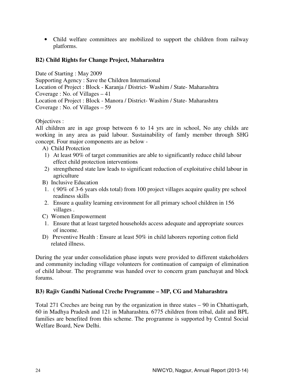• Child welfare committees are mobilized to support the children from railway platforms.

# **B2) Child Rights for Change Project, Maharashtra**

Date of Starting : May 2009 Supporting Agency : Save the Children International Location of Project : Block - Karanja / District- Washim / State- Maharashtra Coverage : No. of Villages – 41 Location of Project : Block - Manora / District- Washim / State- Maharashtra Coverage : No. of Villages – 59

Objectives :

All children are in age group between 6 to 14 yrs are in school, No any childs are working in any area as paid labour. Sustainability of famly member through SHG concept. Four major components are as below -

- A) Child Protection
- 1) At least 90% of target communities are able to significantly reduce child labour effect child protection interventions
- 2) strengthened state law leads to significant reduction of exploitative child labour in agriculture
- B) Inclusive Education
- 1. ( 90% of 3-6 years olds total) from 100 project villages acquire quality pre school readiness skills
- 2. Ensure a quality learning environment for all primary school children in 156 villages .
- C) Women Empowerment
- 1. Ensure that at least targeted households access adequate and appropriate sources of income.
- D) Preventive Health : Ensure at least 50% in child laborers reporting cotton field related illness.

During the year under consolidation phase inputs were provided to different stakeholders and community including village volunteers for continuation of campaign of elimination of child labour. The programme was handed over to concern gram panchayat and block forums.

# **B3) Rajiv Gandhi National Creche Programme – MP, CG and Maharashtra**

Total 271 Creches are being run by the organization in three states – 90 in Chhattisgarh, 60 in Madhya Pradesh and 121 in Maharashtra. 6775 children from tribal, dalit and BPL families are benefited from this scheme. The programme is supported by Central Social Welfare Board, New Delhi.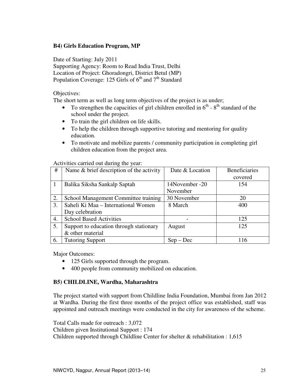# **B4) Girls Education Program, MP**

Date of Starting: July 2011 Supporting Agency: Room to Read India Trust, Delhi Location of Project: Ghoradongri, District Betul (MP) Population Coverage: 125 Girls of  $6^{th}$  and  $7^{th}$  Standard

Objectives:

The short term as well as long term objectives of the project is as under;

- To strengthen the capacities of girl children enrolled in  $6<sup>th</sup>$   $8<sup>th</sup>$  standard of the school under the project.
- To train the girl children on life skills.
- To help the children through supportive tutoring and mentoring for quality education.
- To motivate and mobilize parents / community participation in completing girl children education from the project area.

| #  | Name & brief description of the activity | Date & Location | <b>Beneficiaries</b> |
|----|------------------------------------------|-----------------|----------------------|
|    |                                          |                 | covered              |
|    | Balika Siksha Sankalp Saptah             | 14November -20  | 154                  |
|    |                                          | November        |                      |
| 2. | School Management Committee training     | 30 November     | 20                   |
| 3. | Saheli Ki Maa – International Women      | 8 March         | 400                  |
|    | Day celebration                          |                 |                      |
| 4. | <b>School Based Activities</b>           |                 | 125                  |
| 5. | Support to education through stationary  | August          | 125                  |
|    | & other material                         |                 |                      |
| 6. | <b>Tutoring Support</b>                  | $Sep - Dec$     | 116                  |

Activities carried out during the year:

Major Outcomes:

- 125 Girls supported through the program.
- 400 people from community mobilized on education.

#### **B5) CHILDLINE, Wardha, Maharashtra**

The project started with support from Childline India Foundation, Mumbai from Jan 2012 at Wardha. During the first three months of the project office was established, staff was appointed and outreach meetings were conducted in the city for awareness of the scheme.

Total Calls made for outreach : 3,072 Children given Institutional Support : 174 Children supported through Childline Center for shelter & rehabilitation : 1,615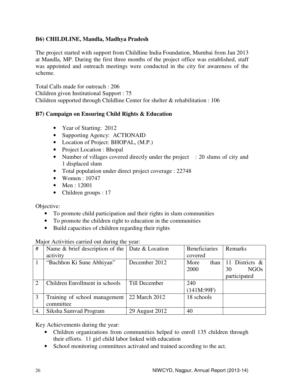# **B6) CHILDLINE, Mandla, Madhya Pradesh**

The project started with support from Childline India Foundation, Mumbai from Jan 2013 at Mandla, MP. During the first three months of the project office was established, staff was appointed and outreach meetings were conducted in the city for awareness of the scheme.

Total Calls made for outreach : 206 Children given Institutional Support : 75 Children supported through Childline Center for shelter & rehabilitation : 106

# **B7) Campaign on Ensuring Child Rights & Education**

- Year of Starting: 2012
- Supporting Agency: ACTIONAID
- Location of Project: BHOPAL, (M.P.)
- Project Location : Bhopal
- Number of villages covered directly under the project : 20 slums of city and 1 displaced slum
- Total population under direct project coverage : 22748
- Women : 10747
- Men : 12001
- Children groups : 17

Objective:

- To promote child participation and their rights in slum communities
- To promote the children right to education in the communities
- Build capacities of children regarding their rights

Major Activities carried out during the year:

| #              | Name $\&$ brief description of the Date $\&$ Location |                | <b>Beneficiaries</b> | Remarks           |
|----------------|-------------------------------------------------------|----------------|----------------------|-------------------|
|                | activity                                              |                | covered              |                   |
|                | "Bachhon Ki Sune Abhiyan"                             | December 2012  | More<br>than         | 11 Districts &    |
|                |                                                       |                | 2000                 | <b>NGOs</b><br>30 |
|                |                                                       |                |                      | participated      |
| $\overline{2}$ | Children Enrollment in schools                        | Till December  | 240                  |                   |
|                |                                                       |                | (141M:99F)           |                   |
| $\mathcal{R}$  | Training of school management                         | 22 March 2012  | 18 schools           |                   |
|                | committee                                             |                |                      |                   |
| 4.             | Siksha Samvad Program                                 | 29 August 2012 | 40                   |                   |

Key Achievements during the year:

- Children organizations from communities helped to enroll 135 children through their efforts. 11 girl child labor linked with education
- School monitoring committees activated and trained according to the act.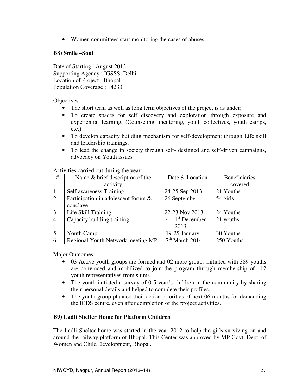• Women committees start monitoring the cases of abuses.

# **B8) Smile –Soul**

Date of Starting : August 2013 Supporting Agency : IGSSS, Delhi Location of Project : Bhopal Population Coverage : 14233

Objectives:

- The short term as well as long term objectives of the project is as under;
- To create spaces for self discovery and exploration through exposure and experiential learning. (Counseling, mentoring, youth collectives, youth camps, etc.)
- To develop capacity building mechanism for self-development through Life skill and leadership trainings.
- To lead the change in society through self- designed and self-driven campaigns, advocacy on Youth issues

Activities carried out during the year:

| #  | Name & brief description of the     | Date & Location  | <b>Beneficiaries</b> |  |
|----|-------------------------------------|------------------|----------------------|--|
|    | activity                            |                  | covered              |  |
|    | Self awareness Training             | 24-25 Sep 2013   | 21 Youths            |  |
| 2. | Participation in adolescent forum & | 26 September     | 54 girls             |  |
|    | conclave                            |                  |                      |  |
| 3. | Life Skill Training                 | 22-23 Nov 2013   | 24 Youths            |  |
| 4. | Capacity building training          | $1st$ December   | 21 youths            |  |
|    |                                     | 2013             |                      |  |
| 5. | Youth Camp                          | 19-25 January    | 30 Youths            |  |
| 6. | Regional Youth Network meeting MP   | $7th$ March 2014 | 250 Youths           |  |

Major Outcomes:

- 03 Active youth groups are formed and 02 more groups initiated with 389 youths are convinced and mobilized to join the program through membership of 112 youth representatives from slums.
- The youth initiated a survey of 0-5 year's children in the community by sharing their personal details and helped to complete their profiles.
- The youth group planned their action priorities of next 06 months for demanding the ICDS centre, even after completion of the project activities.

# **B9) Ladli Shelter Home for Platform Children**

The Ladli Shelter home was started in the year 2012 to help the girls surviving on and around the railway platform of Bhopal. This Center was approved by MP Govt. Dept. of Women and Child Development, Bhopal.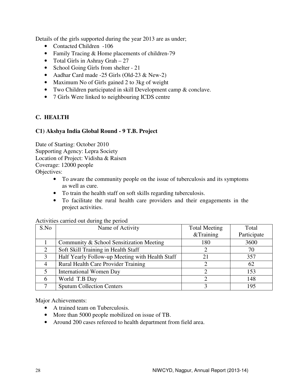Details of the girls supported during the year 2013 are as under;

- Contacted Children -106
- Family Tracing & Home placements of children-79
- Total Girls in Ashray Grah 27
- School Going Girls from shelter 21
- Aadhar Card made -25 Girls (Old-23 & New-2)
- Maximum No of Girls gained 2 to 3kg of weight
- Two Children participated in skill Development camp & conclave.
- 7 Girls Were linked to neighbouring ICDS centre

# **C. HEALTH**

# **C1) Akshya India Global Round - 9 T.B. Project**

Date of Starting: October 2010 Supporting Agency: Lepra Society Location of Project: Vidisha & Raisen Coverage: 12000 people Objectives:

- To aware the community people on the issue of tuberculosis and its symptoms as well as cure.
- To train the health staff on soft skills regarding tuberculosis.
- To facilitate the rural health care providers and their engagements in the project activities.

| S.No                  | Name of Activity                                | <b>Total Meeting</b> | Total       |
|-----------------------|-------------------------------------------------|----------------------|-------------|
|                       |                                                 | &Training            | Participate |
|                       | Community & School Sensitization Meeting        | 180                  | 3600        |
| $\mathcal{D}_{\cdot}$ | Soft Skill Training in Health Staff             | 2                    | 70          |
| 3                     | Half Yearly Follow-up Meeting with Health Staff | 21                   | 357         |
| 4                     | Rural Health Care Provider Training             |                      | 62          |
| 5                     | <b>International Women Day</b>                  |                      | 153         |
| 6                     | World T.B Day                                   |                      | 148         |
|                       | <b>Sputum Collection Centers</b>                |                      | 195         |

Activities carried out during the period

Major Achievements:

- A trained team on Tuberculosis.
- More than 5000 people mobilized on issue of TB.
- Around 200 cases refereed to health department from field area.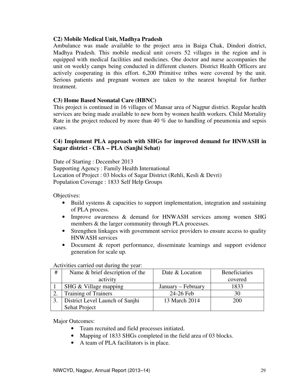#### **C2) Mobile Medical Unit, Madhya Pradesh**

Ambulance was made available to the project area in Baiga Chak, Dindori district, Madhya Pradesh. This mobile medical unit covers 52 villages in the region and is equipped with medical facilities and medicines. One doctor and nurse accompanies the unit on weekly camps being conducted in different clusters. District Health Officers are actively cooperating in this effort. 6,200 Primitive tribes were covered by the unit. Serious patients and pregnant women are taken to the nearest hospital for further treatment.

### **C3) Home Based Neonatal Care (HBNC)**

This project is continued in 16 villages of Mansar area of Nagpur district. Regular health services are being made available to new born by women health workers. Child Mortality Rate in the project reduced by more than 40 % due to handling of pneumonia and sepsis cases.

### **C4) Implement PLA approach with SHGs for improved demand for HNWASH in Sagar district - CBA – PLA (Sanjhi Sehat)**

Date of Starting : December 2013 Supporting Agency : Family Health International Location of Project : 03 blocks of Sagar District (Rehli, Kesli & Devri) Population Coverage : 1833 Self Help Groups

Objectives:

- Build systems & capacities to support implementation, integration and sustaining of PLA process.
- Improve awareness & demand for HNWASH services among women SHG members & the larger community through PLA processes.
- Strengthen linkages with government service providers to ensure access to quality HNWASH services
- Document & report performance, disseminate learnings and support evidence generation for scale up.

| # | Name & brief description of the | Date & Location    | <b>Beneficiaries</b> |
|---|---------------------------------|--------------------|----------------------|
|   | activity                        |                    | covered              |
|   | SHG & Village mapping           | January – February | 1833                 |
|   | <b>Training of Trainers</b>     | 24-26 Feb          | 30                   |
|   | District Level Launch of Sanjhi | 13 March 2014      | 200                  |
|   | Sehat Project                   |                    |                      |

Activities carried out during the year:

Major Outcomes:

- Team recruited and field processes initiated.
- Mapping of 1833 SHGs completed in the field area of 03 blocks.
- A team of PLA facilitators is in place.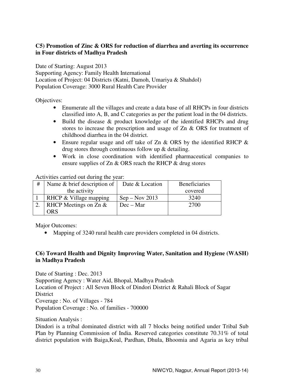# **C5) Promotion of Zinc & ORS for reduction of diarrhea and averting its occurrence in Four districts of Madhya Pradesh**

Date of Starting: August 2013 Supporting Agency: Family Health International Location of Project: 04 Districts (Katni, Damoh, Umariya & Shahdol) Population Coverage: 3000 Rural Health Care Provider

Objectives:

- Enumerate all the villages and create a data base of all RHCPs in four districts classified into A, B, and C categories as per the patient load in the 04 districts.
- Build the disease & product knowledge of the identified RHCPs and drug stores to increase the prescription and usage of Zn & ORS for treatment of childhood diarrhea in the 04 district.
- Ensure regular usage and off take of Zn & ORS by the identified RHCP & drug stores through continuous follow up & detailing.
- Work in close coordination with identified pharmaceutical companies to ensure supplies of Zn & ORS reach the RHCP & drug stores

Activities carried out during the year:

| # | Name $& brief description of$   | Date & Location  | <b>Beneficiaries</b> |
|---|---------------------------------|------------------|----------------------|
|   | the activity                    |                  | covered              |
|   | RHCP $&$ Village mapping        | $Sep - Nov 2013$ | 3240                 |
|   | <b>RHCP</b> Meetings on Zn $\&$ | $Dec - Mar$      | 2700                 |
|   | ORS                             |                  |                      |

Major Outcomes:

• Mapping of 3240 rural health care providers completed in 04 districts.

# **C6) Toward Health and Dignity Improving Water, Sanitation and Hygiene (WASH) in Madhya Pradesh**

Date of Starting : Dec. 2013 Supporting Agency : Water Aid, Bhopal, Madhya Pradesh Location of Project : All Seven Block of Dindori District & Rahali Block of Sagar District Coverage : No. of Villages - 784 Population Coverage : No. of families - 700000

Situation Analysis :

Dindori is a tribal dominated district with all 7 blocks being notified under Tribal Sub Plan by Planning Commission of India. Reserved categories constitute 70.31% of total district population with Baiga,Koal, Pardhan, Dhula, Bhoomia and Agaria as key tribal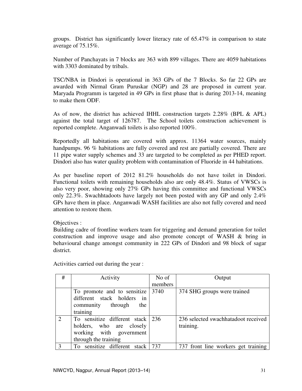groups. District has significantly lower literacy rate of 65.47% in comparison to state average of 75.15%.

Number of Panchayats in 7 blocks are 363 with 899 villages. There are 4059 habitations with 3303 dominated by tribals.

TSC/NBA in Dindori is operational in 363 GPs of the 7 Blocks. So far 22 GPs are awarded with Nirmal Gram Puruskar (NGP) and 28 are proposed in current year. Maryada Programm is targeted in 49 GPs in first phase that is during 2013-14, meaning to make them ODF.

As of now, the district has achieved IHHL construction targets 2.28% (BPL & APL) against the total target of 126787. The School toilets construction achievement is reported complete. Anganwadi toilets is also reported 100%.

Reportedly all habitations are covered with approx. 11364 water sources, mainly handpumps. 96 % habitations are fully covered and rest are partially covered. There are 11 pipe water supply schemes and 33 are targeted to be completed as per PHED report. Dindori also has water quality problem with contamination of Fluoride in 44 habitations.

As per baseline report of 2012 81.2% households do not have toilet in Dindori. Functional toilets with remaining households also are only 48.4%. Status of VWSCs is also very poor, showing only 27% GPs having this committee and functional VWSCs only 22.3%. Swachhtadoots have largely not been posted with any GP and only 2.4% GPs have them in place. Anganwadi WASH facilities are also not fully covered and need attention to restore them.

Objectives :

Building cadre of frontline workers team for triggering and demand generation for toilet construction and improve usage and also promote concept of WASH & bring in behavioural change amongst community in 222 GPs of Dindori and 98 block of sagar district.

| #                           | Activity                                   | No of   | Output                              |
|-----------------------------|--------------------------------------------|---------|-------------------------------------|
|                             |                                            | members |                                     |
|                             | To promote and to sensitize $ 3740\rangle$ |         | 374 SHG groups were trained         |
|                             | different stack holders in                 |         |                                     |
|                             | community through<br>the                   |         |                                     |
|                             | training                                   |         |                                     |
| $\mathcal{D}_{\mathcal{L}}$ | To sensitize different stack   236         |         | 236 selected swachhatadoot received |
|                             | holders, who are closely                   |         | training.                           |
|                             | working with government                    |         |                                     |
|                             | through the training                       |         |                                     |
|                             | To sensitize different stack               | 737     | 737 front line workers get training |

Activities carried out during the year :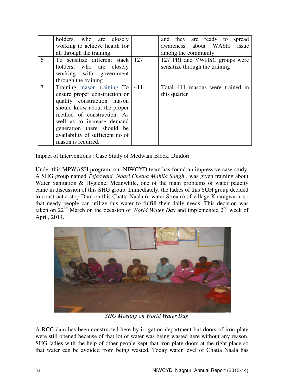|                | holders, who are closely<br>working to achieve health for<br>all through the training                                                                                                                                                                                               | and they are ready to spread<br>awareness about WASH issue<br>among the community. |
|----------------|-------------------------------------------------------------------------------------------------------------------------------------------------------------------------------------------------------------------------------------------------------------------------------------|------------------------------------------------------------------------------------|
| 6              | To sensitize different stack 127<br>holders, who are closely<br>working with government<br>through the training                                                                                                                                                                     | 127 PRI and VWHSC groups were<br>sensitize through the training                    |
| $\overline{7}$ | Training mason training To   411<br>ensure proper construction or<br>quality construction mason<br>should know about the proper<br>method of construction. As<br>well as to increase demand<br>generation there should be<br>availability of sufficient no of<br>mason is required. | Total 411 masons were trained in<br>this quarter                                   |

Impact of Interventions : Case Study of Medwani Block, Dindori

Under this MPWASH program, our NIWCYD team has found an impressive case study. A SHG group named *Tejaswani Naari Chetna Mahila Sangh* , was given training about Water Sanitation & Hygiene. Meanwhile, one of the main problems of water paucity came in discussion of this SHG group. Immediately, the ladies of this SGH group decided to construct a stop Dam on this Chatta Naala (a water Stream) of village Kharagwara, so that needy people can utilize this water to fulfill their daily needs. This decision was taken on  $22<sup>nd</sup>$  March on the occasion of *World Water Day* and implemented  $2<sup>nd</sup>$  week of April, 2014.



*SHG Meeting on World Water Day* 

A RCC dam has been constructed here by irrigation department but doors of iron plate were still opened because of that lot of water was being wasted here without any reason. SHG ladies with the help of other people kept that iron plate doors at the right place so that water can be avoided from being wasted. Today water level of Chatta Naala has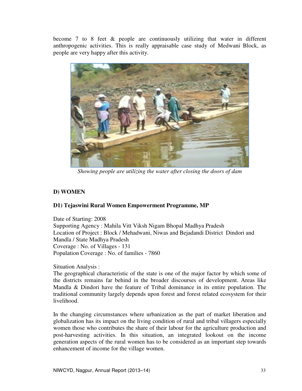become 7 to 8 feet & people are continuously utilizing that water in different anthropogenic activities. This is really appraisable case study of Medwani Block, as people are very happy after this activity.



*Showing people are utilizing the water after closing the doors of dam*

# **D) WOMEN**

# **D1) Tejaswini Rural Women Empowerment Programme, MP**

Date of Starting: 2008 Supporting Agency : Mahila Vitt Viksh Nigam Bhopal Madhya Pradesh Location of Project : Block / Mehadwani, Niwas and Bejadandi District Dindori and Mandla / State Madhya Pradesh Coverage : No. of Villages - 131 Population Coverage : No. of families - 7860

Situation Analysis :

The geographical characteristic of the state is one of the major factor by which some of the districts remains far behind in the broader discourses of development. Areas like Mandla & Dindori have the feature of Tribal dominance in its entire population. The traditional community largely depends upon forest and forest related ecosystem for their livelihood.

In the changing circumstances where urbanization as the part of market liberation and globalization has its impact on the living condition of rural and tribal villagers especially women those who contributes the share of their labour for the agriculture production and post-harvesting activities. In this situation, an integrated lookout on the income generation aspects of the rural women has to be considered as an important step towards enhancement of income for the village women.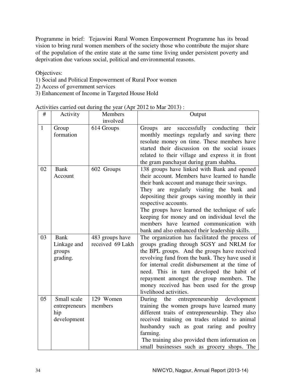Programme in brief: Tejaswini Rural Women Empowerment Programme has its broad vision to bring rural women members of the society those who contribute the major share of the population of the entire state at the same time living under persistent poverty and deprivation due various social, political and environmental reasons.

Objectives:

- 1) Social and Political Empowerment of Rural Poor women
- 2) Access of government services
- 3) Enhancement of Income in Targeted House Hold

| Activities carried out during the year (Apr 2012 to Mar 2013): |  |  |  |  |
|----------------------------------------------------------------|--|--|--|--|
|                                                                |  |  |  |  |

| #  | Activity                                           | Members                             | Output                                                                                                                                                                                                                                                                                                                                                                                                                                                              |  |
|----|----------------------------------------------------|-------------------------------------|---------------------------------------------------------------------------------------------------------------------------------------------------------------------------------------------------------------------------------------------------------------------------------------------------------------------------------------------------------------------------------------------------------------------------------------------------------------------|--|
|    |                                                    | involved                            |                                                                                                                                                                                                                                                                                                                                                                                                                                                                     |  |
| 1  | Group<br>formation                                 | 614 Groups                          | successfully conducting<br>their<br>Groups<br>are<br>monthly meetings regularly and saving there<br>resolute money on time. These members have<br>started their discussion on the social issues<br>related to their village and express it in front<br>the gram panchayat during gram shabha.                                                                                                                                                                       |  |
| 02 | <b>Bank</b><br>Account                             | 602 Groups                          | 138 groups have linked with Bank and opened<br>their account. Members have learned to handle<br>their bank account and manage their savings.<br>They are regularly visiting the bank and<br>depositing their groups saving monthly in their<br>respective accounts.<br>The groups have learned the technique of safe<br>keeping for money and on individual level the<br>members have learned communication with<br>bank and also enhanced their leadership skills. |  |
| 03 | <b>Bank</b><br>Linkage and<br>groups<br>grading.   | 483 groups have<br>received 69 Lakh | The organization has facilitated the process of<br>groups grading through SGSY and NRLM for<br>the BPL groups. And the groups have received<br>revolving fund from the bank. They have used it<br>for internal credit disbursement at the time of<br>need. This in turn developed the habit of<br>repayment amongst the group members. The<br>money received has been used for the group<br>livelihood activities.                                                  |  |
| 05 | Small scale<br>entrepreneurs<br>hip<br>development | 129 Women<br>members                | entrepreneurship development<br>During<br>the<br>training the women groups have learned many<br>different traits of entrepreneurship. They also<br>received training on trades related to animal<br>husbandry such as goat raring and poultry<br>farming.<br>The training also provided them information on<br>small businesses such as grocery shops. The                                                                                                          |  |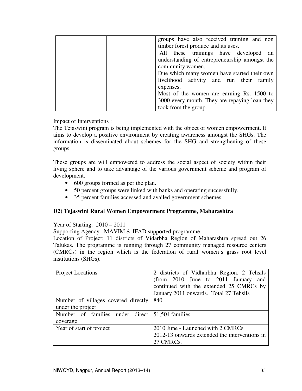|  | groups have also received training and non    |
|--|-----------------------------------------------|
|  | timber forest produce and its uses.           |
|  | All these trainings have developed an         |
|  | understanding of entrepreneurship amongst the |
|  | community women.                              |
|  | Due which many women have started their own   |
|  | livelihood activity and run their family      |
|  | expenses.                                     |
|  | Most of the women are earning Rs. 1500 to     |
|  | 3000 every month. They are repaying loan they |
|  | took from the group.                          |

Impact of Interventions :

The Tejaswini program is being implemented with the object of women empowerment. It aims to develop a positive environment by creating awareness amongst the SHGs. The information is disseminated about schemes for the SHG and strengthening of these groups.

These groups are will empowered to address the social aspect of society within their living sphere and to take advantage of the various government scheme and program of development.

- 600 groups formed as per the plan.
- 50 percent groups were linked with banks and operating successfully.
- 35 percent families accessed and availed government schemes.

# **D2) Tejaswini Rural Women Empowerment Programme, Maharashtra**

Year of Starting: 2010 – 2011

Supporting Agency: MAVIM & IFAD supported programme

Location of Project: 11 districts of Vidarbha Region of Maharashtra spread out 26 Talukas. The programme is running through 27 community managed resource centers (CMRCs) in the region which is the federation of rural women's grass root level institutions (SHGs).

| <b>Project Locations</b>            | 2 districts of Vidharbha Region, 2 Tehsils<br>(from 2010 June to 2011 January<br>and |  |  |
|-------------------------------------|--------------------------------------------------------------------------------------|--|--|
|                                     | continued with the extended 25 CMRCs by                                              |  |  |
|                                     | January 2011 onwards. Total 27 Tehsils                                               |  |  |
| Number of villages covered directly | 840                                                                                  |  |  |
| under the project                   |                                                                                      |  |  |
| Number of families under direct     | 51,504 families                                                                      |  |  |
| coverage                            |                                                                                      |  |  |
| Year of start of project            | 2010 June - Launched with 2 CMRCs                                                    |  |  |
|                                     | 2012-13 onwards extended the interventions in                                        |  |  |
|                                     | 27 CMRCs.                                                                            |  |  |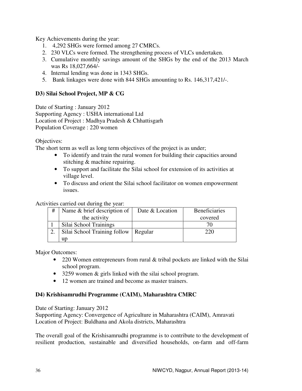Key Achievements during the year:

- 1. 4,292 SHGs were formed among 27 CMRCs.
- 2. 230 VLCs were formed. The strengthening process of VLCs undertaken.
- 3. Cumulative monthly savings amount of the SHGs by the end of the 2013 March was Rs 18,027,664/-
- 4. Internal lending was done in 1343 SHGs.
- 5. Bank linkages were done with 844 SHGs amounting to Rs. 146,317,421/-.

# **D3) Silai School Project, MP & CG**

Date of Starting : January 2012 Supporting Agency : USHA international Ltd Location of Project : Madhya Pradesh & Chhattisgarh Population Coverage : 220 women

Objectives:

The short term as well as long term objectives of the project is as under;

- To identify and train the rural women for building their capacities around stitching & machine repairing.
- To support and facilitate the Silai school for extension of its activities at village level.
- To discuss and orient the Silai school facilitator on women empowerment issues.

Activities carried out during the year:

| # | Name & brief description of  | Date & Location | <b>Beneficiaries</b> |
|---|------------------------------|-----------------|----------------------|
|   | the activity                 |                 | covered              |
|   | Silai School Trainings       |                 |                      |
|   | Silai School Training follow | Regular         | 220                  |
|   | up                           |                 |                      |

Major Outcomes:

- 220 Women entrepreneurs from rural & tribal pockets are linked with the Silai school program.
- 3259 women & girls linked with the silai school program.
- 12 women are trained and become as master trainers.

# **D4) Krishisamrudhi Programme (CAIM), Maharashtra CMRC**

Date of Starting: January 2012

Supporting Agency: Convergence of Agriculture in Maharashtra (CAIM), Amravati Location of Project: Buldhana and Akola districts, Maharashtra

The overall goal of the Krishisamrudhi programme is to contribute to the development of resilient production, sustainable and diversified households, on-farm and off-farm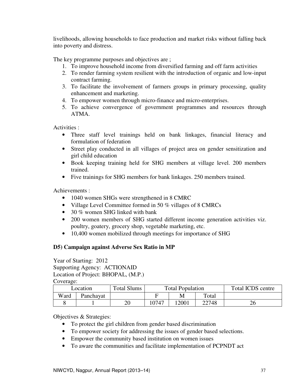livelihoods, allowing households to face production and market risks without falling back into poverty and distress.

The key programme purposes and objectives are ;

- 1. To improve household income from diversified farming and off farm activities
- 2. To render farming system resilient with the introduction of organic and low-input contract farming.
- 3. To facilitate the involvement of farmers groups in primary processing, quality enhancement and marketing.
- 4. To empower women through micro-finance and micro-enterprises.
- 5. To achieve convergence of government programmes and resources through ATMA.

Activities :

- Three staff level trainings held on bank linkages, financial literacy and formulation of federation
- Street play conducted in all villages of project area on gender sensitization and girl child education
- Book keeping training held for SHG members at village level. 200 members trained.
- Five trainings for SHG members for bank linkages. 250 members trained.

Achievements :

- 1040 women SHGs were strengthened in 8 CMRC
- Village Level Committee formed in 50 % villages of 8 CMRCs
- 30 % women SHG linked with bank
- 200 women members of SHG started different income generation activities viz. poultry, goatery, grocery shop, vegetable marketing, etc.
- 10,400 women mobilized through meetings for importance of SHG

# **D5) Campaign against Adverse Sex Ratio in MP**

Year of Starting: 2012 Supporting Agency: ACTIONAID Location of Project: BHOPAL, (M.P.) Coverage:

| Location |           | <b>Total Slums</b> | <b>Total Population</b> |      |       | Total ICDS centre |
|----------|-----------|--------------------|-------------------------|------|-------|-------------------|
| Ward     | Panchayat |                    |                         |      | Total |                   |
|          |           | 20                 | 10747                   | 2001 | 22748 | 26                |

Objectives & Strategies:

- To protect the girl children from gender based discrimination
- To empower society for addressing the issues of gender based selections.
- Empower the community based institution on women issues
- To aware the communities and facilitate implementation of PCPNDT act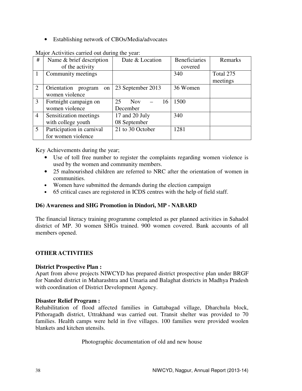• Establishing network of CBOs/Media/advocates

| #              | Name & brief description                | Date & Location        | <b>Beneficiaries</b> | Remarks   |
|----------------|-----------------------------------------|------------------------|----------------------|-----------|
|                | of the activity                         |                        | covered              |           |
|                | Community meetings                      |                        | 340                  | Total 275 |
|                |                                         |                        |                      | meetings  |
| 2              | Orientation<br>program<br><sub>on</sub> | 23 September 2013      | 36 Women             |           |
|                | women violence                          |                        |                      |           |
| 3              | Fortnight campaign on                   | 25<br><b>Nov</b><br>16 | 1500                 |           |
|                | women violence                          | December               |                      |           |
| $\overline{4}$ | Sensitization meetings                  | 17 and 20 July         | 340                  |           |
|                | with college youth                      | 08 September           |                      |           |
| 5              | Participation in carnival               | 21 to 30 October       | 1281                 |           |
|                | for women violence                      |                        |                      |           |

Major Activities carried out during the year:

Key Achievements during the year;

- Use of toll free number to register the complaints regarding women violence is used by the women and community members.
- 25 malnourished children are referred to NRC after the orientation of women in communities.
- Women have submitted the demands during the election campaign
- 65 critical cases are registered in ICDS centres with the help of field staff.

# **D6) Awareness and SHG Promotion in Dindori, MP - NABARD**

The financial literacy training programme completed as per planned activities in Sahadol district of MP. 30 women SHGs trained. 900 women covered. Bank accounts of all members opened.

# **OTHER ACTIVITIES**

#### **District Prospective Plan :**

Apart from above projects NIWCYD has prepared district prospective plan under BRGF for Nanded district in Maharashtra and Umaria and Balaghat districts in Madhya Pradesh with coordination of District Development Agency.

#### **Disaster Relief Program :**

Rehabilitation of flood affected families in Gattabagad village, Dharchula block, Pithoragadh district, Uttrakhand was carried out. Transit shelter was provided to 70 families. Health camps were held in five villages. 100 families were provided woolen blankets and kitchen utensils.

Photographic documentation of old and new house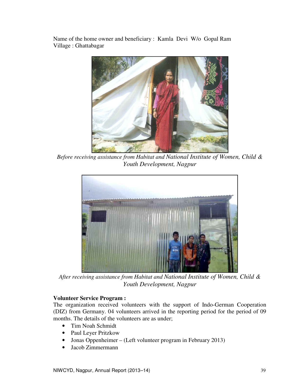Name of the home owner and beneficiary : Kamla Devi W/o Gopal Ram Village : Ghattabagar



*Before receiving assistance from Habitat and National Institute of Women, Child & Youth Development, Nagpur*



*After receiving assistance from Habitat and National Institute of Women, Child & Youth Development, Nagpur* 

# **Volunteer Service Program :**

The organization received volunteers with the support of Indo-German Cooperation (DIZ) from Germany. 04 volunteers arrived in the reporting period for the period of 09 months. The details of the volunteers are as under;

- Tim Noah Schmidt
- Paul Leyer Pritzkow
- Jonas Oppenheimer (Left volunteer program in February 2013)
- Jacob Zimmermann